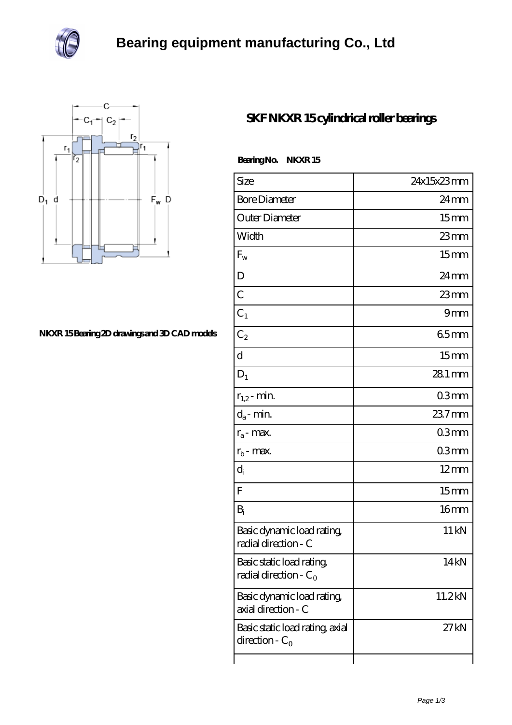



## **[NKXR 15 Bearing 2D drawings and 3D CAD models](https://davidsherjan.com/pic-10174.html)**

## **[SKF NKXR 15 cylindrical roller bearings](https://davidsherjan.com/bh-10174-skf-nkxr-15-cylindrical-roller-bearings.html)**

Bearing No. NKXR 15

| Size                                                  | 24x15x23mm         |
|-------------------------------------------------------|--------------------|
| <b>Bore Diameter</b>                                  | $24 \,\mathrm{mm}$ |
| Outer Diameter                                        | 15 <sub>mm</sub>   |
| Width                                                 | $23$ mm            |
| $F_{w}$                                               | 15 <sub>mm</sub>   |
| D                                                     | $24 \,\mathrm{mm}$ |
| $\overline{C}$                                        | $23$ mm            |
| $C_1$                                                 | 9mm                |
| $C_2$                                                 | 65mm               |
| d                                                     | 15 <sub>mm</sub>   |
| $D_1$                                                 | 28.1 mm            |
| $r_{1,2}$ - min.                                      | 03mm               |
| $d_a$ - min.                                          | 237mm              |
| $r_a$ - max.                                          | 03mm               |
| $r_{\rm b}$ - max.                                    | 03mm               |
| $d_i$                                                 | $12 \text{mm}$     |
| F                                                     | 15mm               |
| $B_i$                                                 | 16 <sub>mm</sub>   |
| Basic dynamic load rating<br>radial direction - C     | 11 kN              |
| Basic static load rating,<br>radial direction - $C_0$ | 14kN               |
| Basic dynamic load rating,<br>axial direction - C     | 11.2kN             |
| Basic static load rating, axial<br>direction - $C_0$  | 27 kN              |
|                                                       |                    |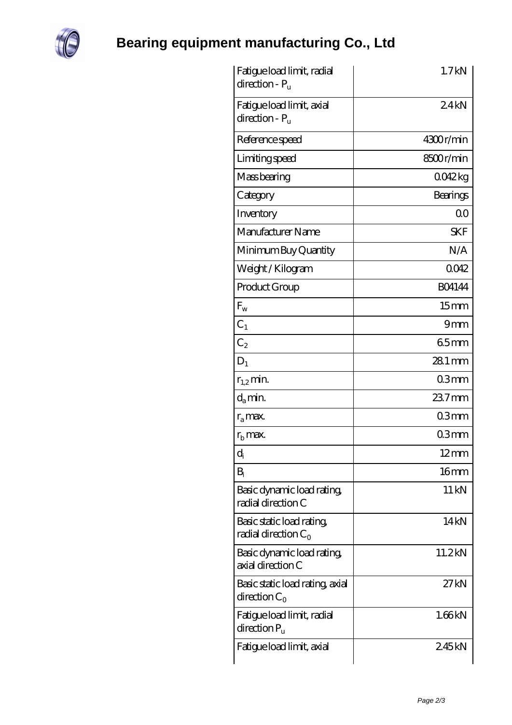

## **[Bearing equipment manufacturing Co., Ltd](https://davidsherjan.com)**

| Fatigue load limit, radial<br>direction - $P_u$        | 1.7kN              |
|--------------------------------------------------------|--------------------|
| Fatigue load limit, axial<br>$direction - Pu$          | 24kN               |
| Reference speed                                        | 4300r/min          |
| Limiting speed                                         | 8500r/min          |
| Mass bearing                                           | 0042kg             |
| Category                                               | Bearings           |
| Inventory                                              | Q0                 |
| Manufacturer Name                                      | <b>SKF</b>         |
| Minimum Buy Quantity                                   | N/A                |
| Weight/Kilogram                                        | 0042               |
| Product Group                                          | <b>BO4144</b>      |
| $F_{w}$                                                | 15mm               |
| $C_1$                                                  | 9mm                |
| C <sub>2</sub>                                         | 65mm               |
| $D_1$                                                  | $281$ mm           |
| $r_{1,2}$ min.                                         | 03mm               |
| $d_a$ min.                                             | $237$ mm           |
| $r_a$ max.                                             | 03mm               |
| $r_{\rm b}$ max.                                       | 03mm               |
| $\operatorname{d}_{\mathsf{i}}$                        | $12 \text{mm}$     |
| $B_i$                                                  | 16 <sub>mm</sub>   |
| Basic dynamic load rating,<br>radial direction C       | $11 \,\mathrm{kN}$ |
| Basic static load rating,<br>radial direction $C_0$    | 14 <sub>kN</sub>   |
| Basic dynamic load rating,<br>axial direction C        | 11.2kN             |
| Basic static load rating, axial<br>direction $C_0$     | 27 kN              |
| Fatigue load limit, radial<br>$\alpha$ direction $P_u$ | 1.66kN             |
| Fatigue load limit, axial                              | 245kN              |